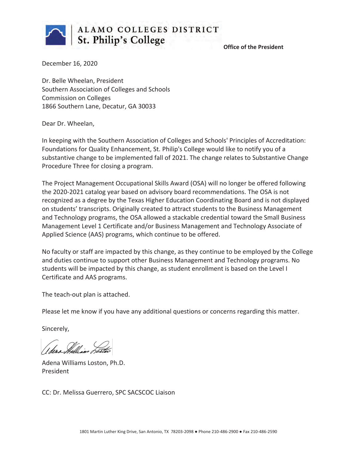

 **Office of the President**

December 16, 2020

Dr. Belle Wheelan, President Southern Association of Colleges and Schools Commission on Colleges 1866 Southern Lane, Decatur, GA 30033

Dear Dr. Wheelan,

In keeping with the Southern Association of Colleges and Schools' Principles of Accreditation: Foundations for Quality Enhancement, St. Philip's College would like to notify you of a substantive change to be implemented fall of 2021. The change relates to Substantive Change Procedure Three for closing a program.

The Project Management Occupational Skills Award (OSA) will no longer be offered following the 2020-2021 catalog year based on advisory board recommendations. The OSA is not recognized as a degree by the Texas Higher Education Coordinating Board and is not displayed on students' transcripts. Originally created to attract students to the Business Management and Technology programs, the OSA allowed a stackable credential toward the Small Business Management Level 1 Certificate and/or Business Management and Technology Associate of Applied Science (AAS) programs, which continue to be offered.

No faculty or staff are impacted by this change, as they continue to be employed by the College and duties continue to support other Business Management and Technology programs. No students will be impacted by this change, as student enrollment is based on the Level I Certificate and AAS programs.

The teach-out plan is attached.

Please let me know if you have any additional questions or concerns regarding this matter.

Sincerely,

Adena Williams Loston, Ph.D. President

CC: Dr. Melissa Guerrero, SPC SACSCOC Liaison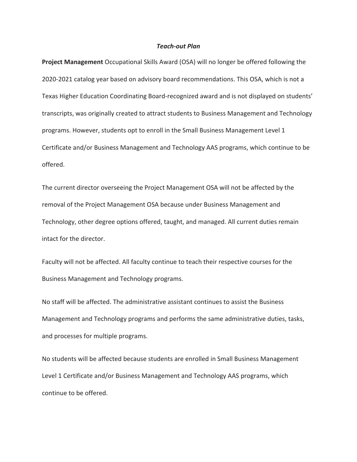#### *Teach-out Plan*

**Project Management** Occupational Skills Award (OSA) will no longer be offered following the 2020-2021 catalog year based on advisory board recommendations. This OSA, which is not a Texas Higher Education Coordinating Board-recognized award and is not displayed on students' transcripts, was originally created to attract students to Business Management and Technology programs. However, students opt to enroll in the Small Business Management Level 1 Certificate and/or Business Management and Technology AAS programs, which continue to be offered.

The current director overseeing the Project Management OSA will not be affected by the removal of the Project Management OSA because under Business Management and Technology, other degree options offered, taught, and managed. All current duties remain intact for the director.

Faculty will not be affected. All faculty continue to teach their respective courses for the Business Management and Technology programs.

No staff will be affected. The administrative assistant continues to assist the Business Management and Technology programs and performs the same administrative duties, tasks, and processes for multiple programs.

No students will be affected because students are enrolled in Small Business Management Level 1 Certificate and/or Business Management and Technology AAS programs, which continue to be offered.